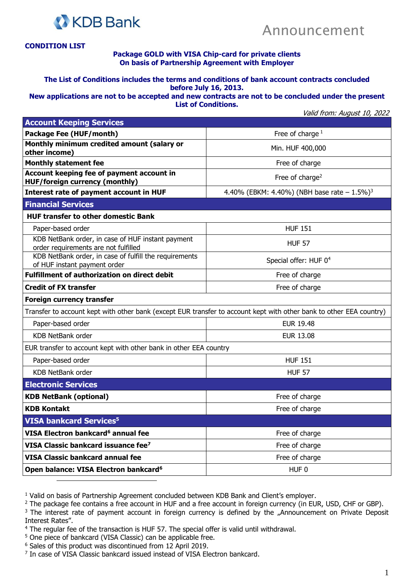



## **CONDITION LIST**

## **Package GOLD with VISA Chip-card for private clients On basis of Partnership Agreement with Employer**

## **The List of Conditions includes the terms and conditions of bank account contracts concluded before July 16, 2013.**

**New applications are not to be accepted and new contracts are not to be concluded under the present List of Conditions.**

Valid from: August 10, 2022

| <b>Account Keeping Services</b>                                                                                     |                                                             |
|---------------------------------------------------------------------------------------------------------------------|-------------------------------------------------------------|
| <b>Package Fee (HUF/month)</b>                                                                                      | Free of charge $1$                                          |
| Monthly minimum credited amount (salary or<br>other income)                                                         | Min. HUF 400,000                                            |
| <b>Monthly statement fee</b>                                                                                        | Free of charge                                              |
| Account keeping fee of payment account in<br><b>HUF/foreign currency (monthly)</b>                                  | Free of charge <sup>2</sup>                                 |
| Interest rate of payment account in HUF                                                                             | 4.40% (EBKM: 4.40%) (NBH base rate $- 1.5\%$ ) <sup>3</sup> |
| <b>Financial Services</b>                                                                                           |                                                             |
| <b>HUF transfer to other domestic Bank</b>                                                                          |                                                             |
| Paper-based order                                                                                                   | <b>HUF 151</b>                                              |
| KDB NetBank order, in case of HUF instant payment<br>order requirements are not fulfilled                           | <b>HUF 57</b>                                               |
| KDB NetBank order, in case of fulfill the requirements<br>of HUF instant payment order                              | Special offer: HUF 0 <sup>4</sup>                           |
| <b>Fulfillment of authorization on direct debit</b>                                                                 | Free of charge                                              |
| <b>Credit of FX transfer</b>                                                                                        | Free of charge                                              |
| <b>Foreign currency transfer</b>                                                                                    |                                                             |
| Transfer to account kept with other bank (except EUR transfer to account kept with other bank to other EEA country) |                                                             |
| Paper-based order                                                                                                   | <b>EUR 19.48</b>                                            |
| <b>KDB NetBank order</b>                                                                                            | <b>EUR 13.08</b>                                            |
| EUR transfer to account kept with other bank in other EEA country                                                   |                                                             |
| Paper-based order                                                                                                   | <b>HUF 151</b>                                              |
| <b>KDB NetBank order</b>                                                                                            | <b>HUF 57</b>                                               |
| <b>Electronic Services</b>                                                                                          |                                                             |
| <b>KDB NetBank (optional)</b>                                                                                       | Free of charge                                              |
| <b>KDB Kontakt</b>                                                                                                  | Free of charge                                              |
| <b>VISA bankcard Services<sup>5</sup></b>                                                                           |                                                             |
| VISA Electron bankcard <sup>6</sup> annual fee                                                                      | Free of charge                                              |
| VISA Classic bankcard issuance fee <sup>7</sup>                                                                     | Free of charge                                              |
| <b>VISA Classic bankcard annual fee</b>                                                                             | Free of charge                                              |
| Open balance: VISA Electron bankcard <sup>6</sup>                                                                   | HUF <sub>0</sub>                                            |

<sup>1</sup> Valid on basis of Partnership Agreement concluded between KDB Bank and Client's employer.

<sup>2</sup> The package fee contains a free account in HUF and a free account in foreign currency (in EUR, USD, CHF or GBP).

<sup>3</sup> The interest rate of payment account in foreign currency is defined by the "Announcement on Private Deposit Interest Rates".

- <sup>4</sup> The regular fee of the transaction is HUF 57. The special offer is valid until withdrawal.
- <sup>5</sup> One piece of bankcard (VISA Classic) can be applicable free.
- <sup>6</sup> Sales of this product was discontinued from 12 April 2019.
- <sup>7</sup> In case of VISA Classic bankcard issued instead of VISA Electron bankcard.